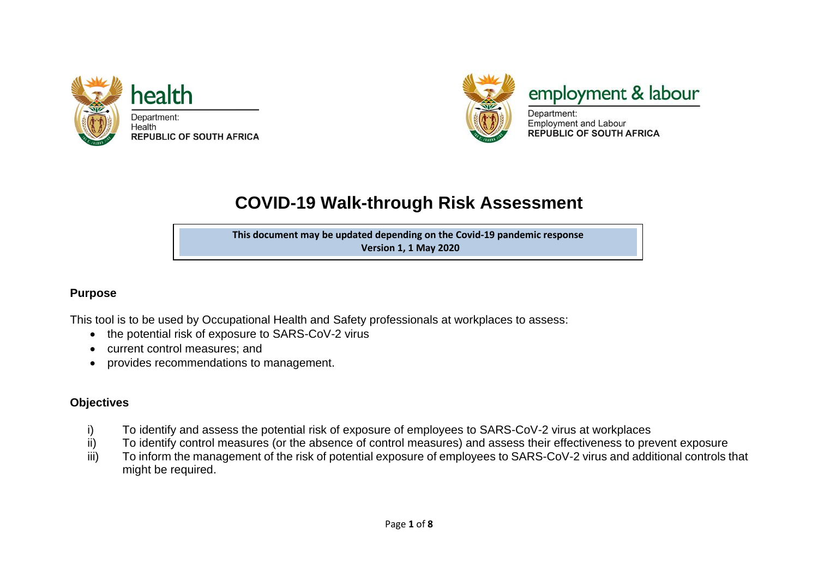



employment & labour

Department: **Employment and Labour REPUBLIC OF SOUTH AFRICA** 

# **COVID-19 Walk-through Risk Assessment**

**This document may be updated depending on the Covid-19 pandemic response Version 1, 1 May 2020**

**Version 1, 1 May 2020**

## **Purpose**

This tool is to be used by Occupational Health and Safety professionals at workplaces to assess:

- the potential risk of exposure to SARS-CoV-2 virus
- current control measures; and
- provides recommendations to management.

# **Objectives**

- i) To identify and assess the potential risk of exposure of employees to SARS-CoV-2 virus at workplaces<br>ii) To identify control measures (or the absence of control measures) and assess their effectiveness to pre
- To identify control measures (or the absence of control measures) and assess their effectiveness to prevent exposure
- iii) To inform the management of the risk of potential exposure of employees to SARS-CoV-2 virus and additional controls that might be required.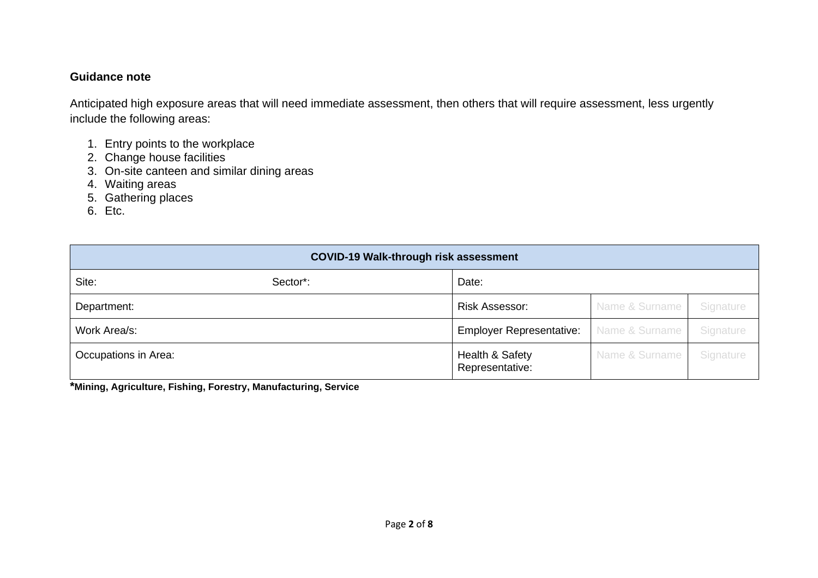## **Guidance note**

Anticipated high exposure areas that will need immediate assessment, then others that will require assessment, less urgently include the following areas:

- 1. Entry points to the workplace
- 2. Change house facilities
- 3. On-site canteen and similar dining areas
- 4. Waiting areas
- 5. Gathering places
- 6. Etc.

| <b>COVID-19 Walk-through risk assessment</b> |          |                                    |                |           |  |  |  |  |
|----------------------------------------------|----------|------------------------------------|----------------|-----------|--|--|--|--|
| Site:                                        | Sector*: | Date:                              |                |           |  |  |  |  |
| Department:                                  |          | <b>Risk Assessor:</b>              | Name & Surname | Signature |  |  |  |  |
| Work Area/s:                                 |          | <b>Employer Representative:</b>    | Name & Surname | Signature |  |  |  |  |
| Occupations in Area:                         |          | Health & Safety<br>Representative: | Name & Surname | Signature |  |  |  |  |

**\*Mining, Agriculture, Fishing, Forestry, Manufacturing, Service**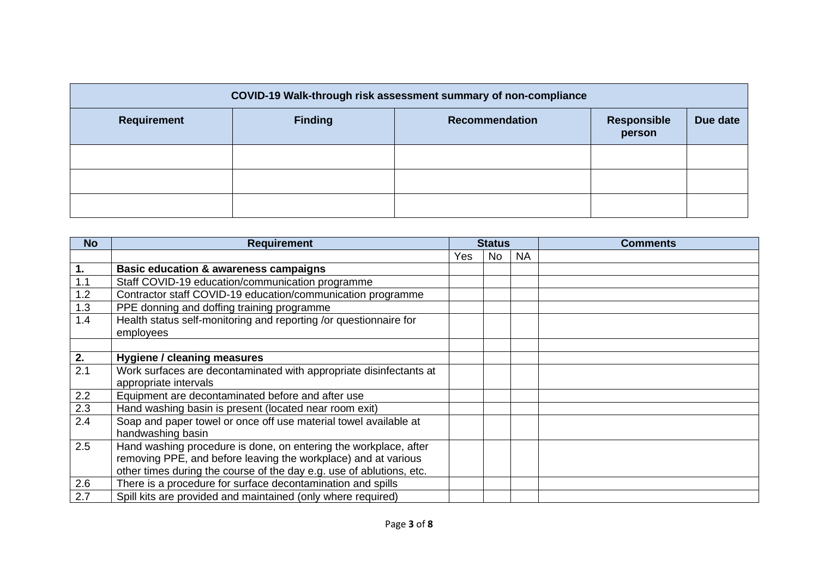| COVID-19 Walk-through risk assessment summary of non-compliance |                |                       |                       |          |  |  |  |  |  |
|-----------------------------------------------------------------|----------------|-----------------------|-----------------------|----------|--|--|--|--|--|
| Requirement                                                     | <b>Finding</b> | <b>Recommendation</b> | Responsible<br>person | Due date |  |  |  |  |  |
|                                                                 |                |                       |                       |          |  |  |  |  |  |
|                                                                 |                |                       |                       |          |  |  |  |  |  |
|                                                                 |                |                       |                       |          |  |  |  |  |  |

| <b>No</b> | <b>Requirement</b>                                                   |     | <b>Status</b> |           | <b>Comments</b> |
|-----------|----------------------------------------------------------------------|-----|---------------|-----------|-----------------|
|           |                                                                      | Yes | No            | <b>NA</b> |                 |
| 1.        | <b>Basic education &amp; awareness campaigns</b>                     |     |               |           |                 |
| 1.1       | Staff COVID-19 education/communication programme                     |     |               |           |                 |
| 1.2       | Contractor staff COVID-19 education/communication programme          |     |               |           |                 |
| 1.3       | PPE donning and doffing training programme                           |     |               |           |                 |
| 1.4       | Health status self-monitoring and reporting /or questionnaire for    |     |               |           |                 |
|           | employees                                                            |     |               |           |                 |
|           |                                                                      |     |               |           |                 |
| 2.        | Hygiene / cleaning measures                                          |     |               |           |                 |
| 2.1       | Work surfaces are decontaminated with appropriate disinfectants at   |     |               |           |                 |
|           | appropriate intervals                                                |     |               |           |                 |
| 2.2       | Equipment are decontaminated before and after use                    |     |               |           |                 |
| 2.3       | Hand washing basin is present (located near room exit)               |     |               |           |                 |
| 2.4       | Soap and paper towel or once off use material towel available at     |     |               |           |                 |
|           | handwashing basin                                                    |     |               |           |                 |
| 2.5       | Hand washing procedure is done, on entering the workplace, after     |     |               |           |                 |
|           | removing PPE, and before leaving the workplace) and at various       |     |               |           |                 |
|           | other times during the course of the day e.g. use of ablutions, etc. |     |               |           |                 |
| 2.6       | There is a procedure for surface decontamination and spills          |     |               |           |                 |
| 2.7       | Spill kits are provided and maintained (only where required)         |     |               |           |                 |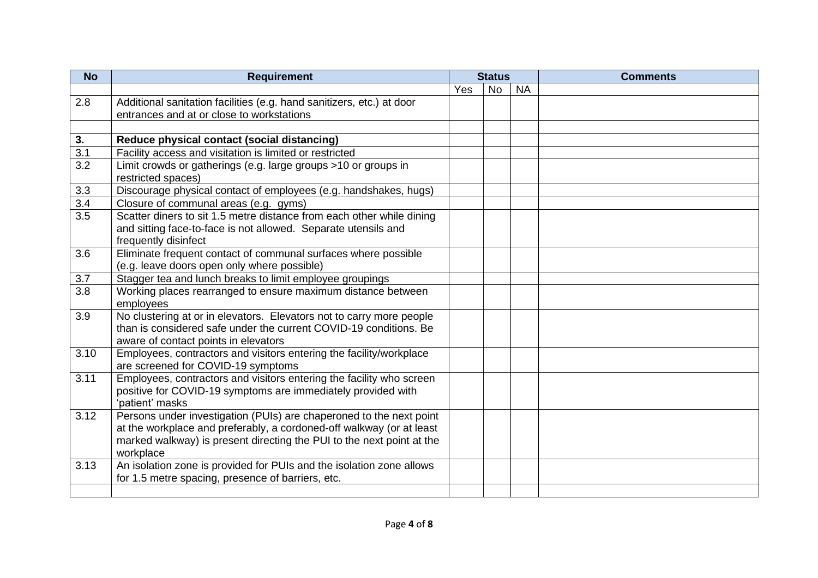| <b>No</b>        | <b>Requirement</b>                                                    |     | <b>Status</b> |           | <b>Comments</b> |
|------------------|-----------------------------------------------------------------------|-----|---------------|-----------|-----------------|
|                  |                                                                       | Yes | <b>No</b>     | <b>NA</b> |                 |
| 2.8              | Additional sanitation facilities (e.g. hand sanitizers, etc.) at door |     |               |           |                 |
|                  | entrances and at or close to workstations                             |     |               |           |                 |
|                  |                                                                       |     |               |           |                 |
| 3.               | Reduce physical contact (social distancing)                           |     |               |           |                 |
| $\overline{3.1}$ | Facility access and visitation is limited or restricted               |     |               |           |                 |
| $\overline{3.2}$ | Limit crowds or gatherings (e.g. large groups >10 or groups in        |     |               |           |                 |
|                  | restricted spaces)                                                    |     |               |           |                 |
| 3.3              | Discourage physical contact of employees (e.g. handshakes, hugs)      |     |               |           |                 |
| 3.4              | Closure of communal areas (e.g. gyms)                                 |     |               |           |                 |
| $\overline{3.5}$ | Scatter diners to sit 1.5 metre distance from each other while dining |     |               |           |                 |
|                  | and sitting face-to-face is not allowed. Separate utensils and        |     |               |           |                 |
|                  | frequently disinfect                                                  |     |               |           |                 |
| 3.6              | Eliminate frequent contact of communal surfaces where possible        |     |               |           |                 |
|                  | (e.g. leave doors open only where possible)                           |     |               |           |                 |
| 3.7              | Stagger tea and lunch breaks to limit employee groupings              |     |               |           |                 |
| 3.8              | Working places rearranged to ensure maximum distance between          |     |               |           |                 |
|                  | employees                                                             |     |               |           |                 |
| 3.9              | No clustering at or in elevators. Elevators not to carry more people  |     |               |           |                 |
|                  | than is considered safe under the current COVID-19 conditions. Be     |     |               |           |                 |
|                  | aware of contact points in elevators                                  |     |               |           |                 |
| 3.10             | Employees, contractors and visitors entering the facility/workplace   |     |               |           |                 |
|                  | are screened for COVID-19 symptoms                                    |     |               |           |                 |
| 3.11             | Employees, contractors and visitors entering the facility who screen  |     |               |           |                 |
|                  | positive for COVID-19 symptoms are immediately provided with          |     |               |           |                 |
|                  | 'patient' masks                                                       |     |               |           |                 |
| 3.12             | Persons under investigation (PUIs) are chaperoned to the next point   |     |               |           |                 |
|                  | at the workplace and preferably, a cordoned-off walkway (or at least  |     |               |           |                 |
|                  | marked walkway) is present directing the PUI to the next point at the |     |               |           |                 |
|                  | workplace                                                             |     |               |           |                 |
| 3.13             | An isolation zone is provided for PUIs and the isolation zone allows  |     |               |           |                 |
|                  | for 1.5 metre spacing, presence of barriers, etc.                     |     |               |           |                 |
|                  |                                                                       |     |               |           |                 |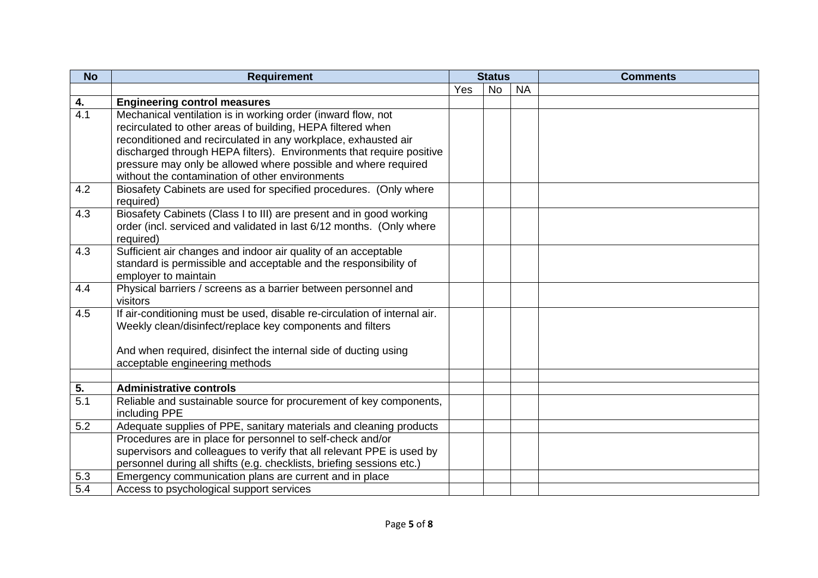| <b>No</b>        | <b>Requirement</b>                                                        |     | <b>Status</b> |           | <b>Comments</b> |
|------------------|---------------------------------------------------------------------------|-----|---------------|-----------|-----------------|
|                  |                                                                           | Yes | <b>No</b>     | <b>NA</b> |                 |
| 4.               | <b>Engineering control measures</b>                                       |     |               |           |                 |
| $\overline{4.1}$ | Mechanical ventilation is in working order (inward flow, not              |     |               |           |                 |
|                  | recirculated to other areas of building, HEPA filtered when               |     |               |           |                 |
|                  | reconditioned and recirculated in any workplace, exhausted air            |     |               |           |                 |
|                  | discharged through HEPA filters). Environments that require positive      |     |               |           |                 |
|                  | pressure may only be allowed where possible and where required            |     |               |           |                 |
|                  | without the contamination of other environments                           |     |               |           |                 |
| 4.2              | Biosafety Cabinets are used for specified procedures. (Only where         |     |               |           |                 |
|                  | required)                                                                 |     |               |           |                 |
| 4.3              | Biosafety Cabinets (Class I to III) are present and in good working       |     |               |           |                 |
|                  | order (incl. serviced and validated in last 6/12 months. (Only where      |     |               |           |                 |
|                  | required)                                                                 |     |               |           |                 |
| 4.3              | Sufficient air changes and indoor air quality of an acceptable            |     |               |           |                 |
|                  | standard is permissible and acceptable and the responsibility of          |     |               |           |                 |
|                  | employer to maintain                                                      |     |               |           |                 |
| 4.4              | Physical barriers / screens as a barrier between personnel and            |     |               |           |                 |
|                  | visitors                                                                  |     |               |           |                 |
| 4.5              | If air-conditioning must be used, disable re-circulation of internal air. |     |               |           |                 |
|                  | Weekly clean/disinfect/replace key components and filters                 |     |               |           |                 |
|                  | And when required, disinfect the internal side of ducting using           |     |               |           |                 |
|                  | acceptable engineering methods                                            |     |               |           |                 |
|                  |                                                                           |     |               |           |                 |
| 5.               | <b>Administrative controls</b>                                            |     |               |           |                 |
| 5.1              | Reliable and sustainable source for procurement of key components,        |     |               |           |                 |
|                  | including PPE                                                             |     |               |           |                 |
| 5.2              | Adequate supplies of PPE, sanitary materials and cleaning products        |     |               |           |                 |
|                  | Procedures are in place for personnel to self-check and/or                |     |               |           |                 |
|                  | supervisors and colleagues to verify that all relevant PPE is used by     |     |               |           |                 |
|                  | personnel during all shifts (e.g. checklists, briefing sessions etc.)     |     |               |           |                 |
| 5.3              | Emergency communication plans are current and in place                    |     |               |           |                 |
| 5.4              | Access to psychological support services                                  |     |               |           |                 |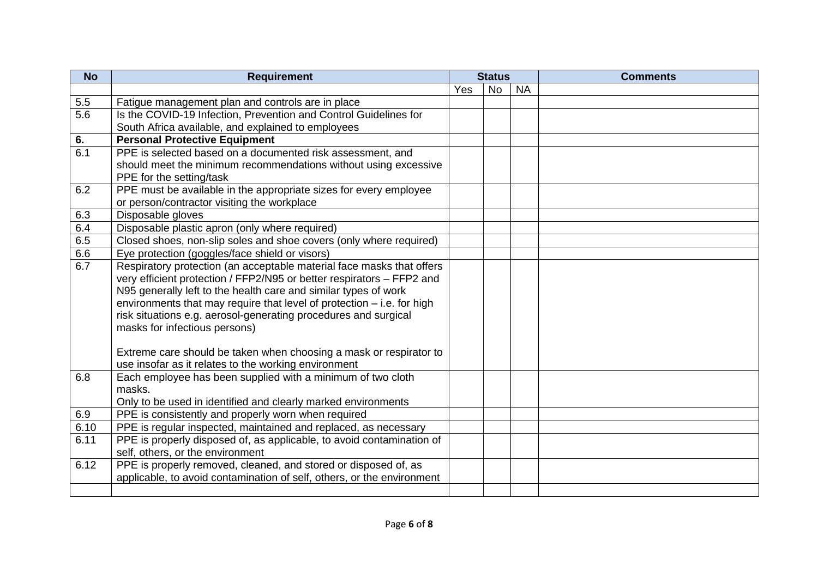| <b>No</b>        | <b>Requirement</b>                                                     | <b>Status</b> |           |           | <b>Comments</b> |
|------------------|------------------------------------------------------------------------|---------------|-----------|-----------|-----------------|
|                  |                                                                        | Yes           | <b>No</b> | <b>NA</b> |                 |
| 5.5              | Fatigue management plan and controls are in place                      |               |           |           |                 |
| 5.6              | Is the COVID-19 Infection, Prevention and Control Guidelines for       |               |           |           |                 |
|                  | South Africa available, and explained to employees                     |               |           |           |                 |
| 6.               | <b>Personal Protective Equipment</b>                                   |               |           |           |                 |
| $\overline{6.1}$ | PPE is selected based on a documented risk assessment, and             |               |           |           |                 |
|                  | should meet the minimum recommendations without using excessive        |               |           |           |                 |
|                  | PPE for the setting/task                                               |               |           |           |                 |
| 6.2              | PPE must be available in the appropriate sizes for every employee      |               |           |           |                 |
|                  | or person/contractor visiting the workplace                            |               |           |           |                 |
| 6.3              | Disposable gloves                                                      |               |           |           |                 |
| 6.4              | Disposable plastic apron (only where required)                         |               |           |           |                 |
| 6.5              | Closed shoes, non-slip soles and shoe covers (only where required)     |               |           |           |                 |
| 6.6              | Eye protection (goggles/face shield or visors)                         |               |           |           |                 |
| 6.7              | Respiratory protection (an acceptable material face masks that offers  |               |           |           |                 |
|                  | very efficient protection / FFP2/N95 or better respirators - FFP2 and  |               |           |           |                 |
|                  | N95 generally left to the health care and similar types of work        |               |           |           |                 |
|                  | environments that may require that level of protection - i.e. for high |               |           |           |                 |
|                  | risk situations e.g. aerosol-generating procedures and surgical        |               |           |           |                 |
|                  | masks for infectious persons)                                          |               |           |           |                 |
|                  |                                                                        |               |           |           |                 |
|                  | Extreme care should be taken when choosing a mask or respirator to     |               |           |           |                 |
|                  | use insofar as it relates to the working environment                   |               |           |           |                 |
| 6.8              | Each employee has been supplied with a minimum of two cloth            |               |           |           |                 |
|                  | masks.                                                                 |               |           |           |                 |
|                  | Only to be used in identified and clearly marked environments          |               |           |           |                 |
| 6.9              | PPE is consistently and properly worn when required                    |               |           |           |                 |
| 6.10             | PPE is regular inspected, maintained and replaced, as necessary        |               |           |           |                 |
| 6.11             | PPE is properly disposed of, as applicable, to avoid contamination of  |               |           |           |                 |
|                  | self, others, or the environment                                       |               |           |           |                 |
| 6.12             | PPE is properly removed, cleaned, and stored or disposed of, as        |               |           |           |                 |
|                  | applicable, to avoid contamination of self, others, or the environment |               |           |           |                 |
|                  |                                                                        |               |           |           |                 |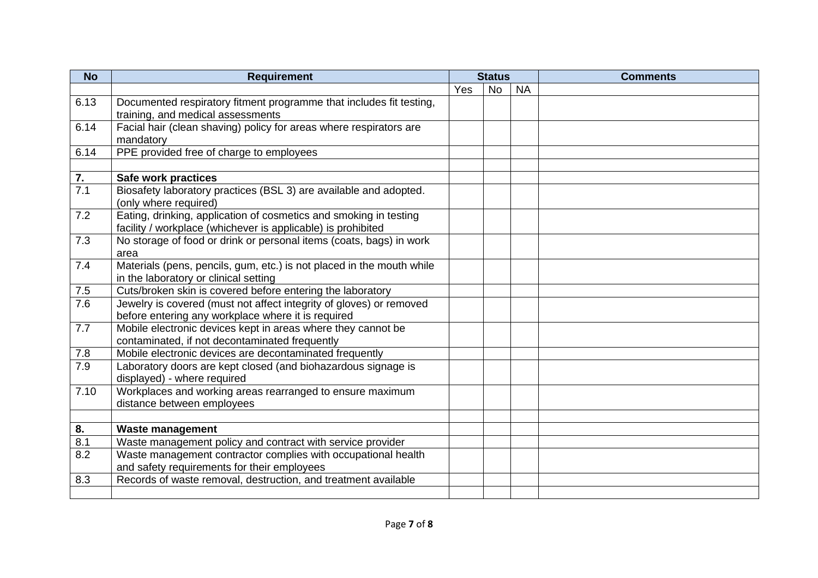| <b>No</b> | <b>Requirement</b>                                                    |     | <b>Status</b> |           | <b>Comments</b> |
|-----------|-----------------------------------------------------------------------|-----|---------------|-----------|-----------------|
|           |                                                                       | Yes | <b>No</b>     | <b>NA</b> |                 |
| 6.13      | Documented respiratory fitment programme that includes fit testing,   |     |               |           |                 |
|           | training, and medical assessments                                     |     |               |           |                 |
| 6.14      | Facial hair (clean shaving) policy for areas where respirators are    |     |               |           |                 |
|           | mandatory                                                             |     |               |           |                 |
| 6.14      | PPE provided free of charge to employees                              |     |               |           |                 |
|           |                                                                       |     |               |           |                 |
| 7.        | Safe work practices                                                   |     |               |           |                 |
| 7.1       | Biosafety laboratory practices (BSL 3) are available and adopted.     |     |               |           |                 |
|           | (only where required)                                                 |     |               |           |                 |
| 7.2       | Eating, drinking, application of cosmetics and smoking in testing     |     |               |           |                 |
|           | facility / workplace (whichever is applicable) is prohibited          |     |               |           |                 |
| 7.3       | No storage of food or drink or personal items (coats, bags) in work   |     |               |           |                 |
|           | area                                                                  |     |               |           |                 |
| 7.4       | Materials (pens, pencils, gum, etc.) is not placed in the mouth while |     |               |           |                 |
|           | in the laboratory or clinical setting                                 |     |               |           |                 |
| 7.5       | Cuts/broken skin is covered before entering the laboratory            |     |               |           |                 |
| 7.6       | Jewelry is covered (must not affect integrity of gloves) or removed   |     |               |           |                 |
|           | before entering any workplace where it is required                    |     |               |           |                 |
| 7.7       | Mobile electronic devices kept in areas where they cannot be          |     |               |           |                 |
|           | contaminated, if not decontaminated frequently                        |     |               |           |                 |
| 7.8       | Mobile electronic devices are decontaminated frequently               |     |               |           |                 |
| 7.9       | Laboratory doors are kept closed (and biohazardous signage is         |     |               |           |                 |
|           | displayed) - where required                                           |     |               |           |                 |
| 7.10      | Workplaces and working areas rearranged to ensure maximum             |     |               |           |                 |
|           | distance between employees                                            |     |               |           |                 |
|           |                                                                       |     |               |           |                 |
| 8.        | <b>Waste management</b>                                               |     |               |           |                 |
| 8.1       | Waste management policy and contract with service provider            |     |               |           |                 |
| 8.2       | Waste management contractor complies with occupational health         |     |               |           |                 |
|           | and safety requirements for their employees                           |     |               |           |                 |
| 8.3       | Records of waste removal, destruction, and treatment available        |     |               |           |                 |
|           |                                                                       |     |               |           |                 |